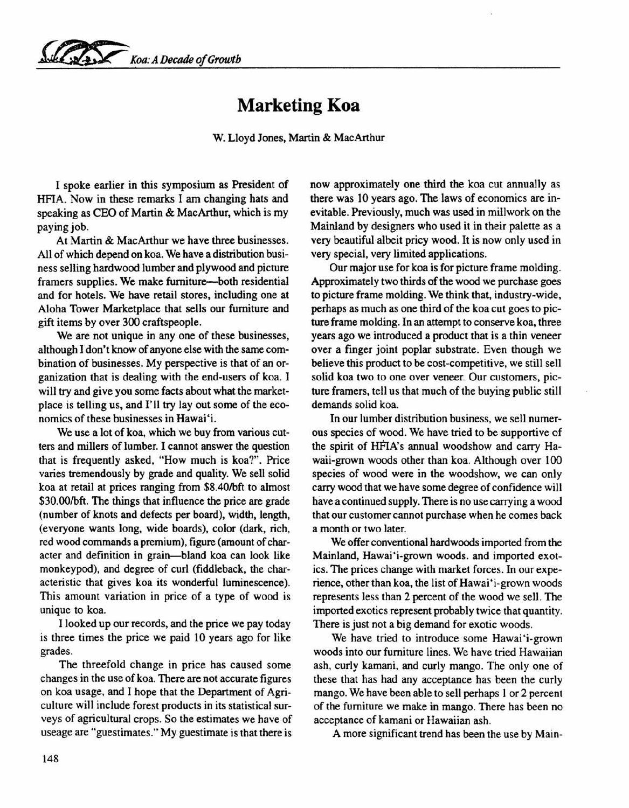*~ K,oa:A Decade of Growth*

## **Marketing Koa**

W. Lloyd Jones, Martin & MacArthur

I spoke earlier in this symposium as President of HFIA. Now in these remarks I am changing hats and speaking as CEO of Martin & MacArthur, which is my paying job.

At Martin & MacArthur we have three businesses. All of which depend on koa. We have a distribution business selling hardwood lumber and plywood and picture framers supplies. We make furniture-both residential and for hotels. We have retail stores, including one at Aloha Tower Marketplace that sells our furniture and gift items by over 300 craftspeople.

We are not unique in any one of these businesses, although I don't know of anyone else with the same combination of businesses. My perspective is that of an organization that is dealing with the end-users of koa. I will try and give you some facts about what the marketplace is telling us, and I'll try lay out some of the economics of these businesses in Hawai'i.

We use a lot of koa, which we buy from various cutters and millers of lumber. I cannot answer the question that is frequently asked, "How much is koa?". Price varies tremendously by grade and quality. We sell solid koa at retail at prices ranging from \$8.40/bft to almost \$30.00/bft. The things that influence the price are grade (number of knots and defects per board), width, length, (everyone wants long, wide boards), color (dark, rich, red wood commands a premium), figure (amount of character and definition in grain-bland koa can look like monkeypod), and degree of curl (fiddleback, the characteristic that gives koa its wonderful luminescence). This amount variation in price of a type of wood is unique to koa.

I looked up our records, and the price we pay today is three times the price we paid 10 years ago for like grades.

The threefold change in price has caused some changes in the use of koa. There are not accurate figures on koa usage, and I hope that the Department of Agriculture will include forest products in its statistical surveys of agricultural crops. So the estimates we have of useage are "guestimates." My guestimate is that there is now approximately one third the koa cut annually as there was 10 years ago. The laws of economics are inevitable. Previously, much was used in millwork on the Mainland by designers who used it in their palette as a very beautiful albeit pricy wood. It is now only used in very special, very limited applications.

Our major use for koa is for picture frame molding. Approximately two thirds of the wood we purchase goes to picture frame molding. We think that, industry-wide, perhaps as much as one third of the koa cut goes to picture frame molding. In an attempt to conserve koa, three years ago we introduced a product that is a thin veneer over a finger joint poplar substrate. Even though we believe this product to be cost-competitive, we still sell solid koa two to one over veneer. Our customers, picture framers, tell us that much of the buying public still demands solid koa.

In our lumber distribution business, we sell numerous species of wood. We have tried to be supportive of the spirit of HFIA's annual woodshow and carry Hawaii-grown woods other than koa. Although over 100 species of wood were in the woodshow, we can only carry wood that we have some degree of confidence will have a continued supply. There is no use carrying a wood that our customer cannot purchase when he comes back a month or two later.

We offer conventional hardwoods imported from the Mainland, Hawai'i-grown woods. and imported exotics. The prices change with market forces. In our experience, other than koa, the list of Hawai 'i-grown woods represents less than 2 percent of the wood we sell. The imported exotics represent probably twice that quantity. There is just not a big demand for exotic woods.

We have tried to introduce some Hawai'i-grown woods into our furniture lines. We have tried Hawaiian ash, curly kamani, and curly mango. The only one of these that has had any acceptance has been the curly mango. We have been able to sell perhaps 1 or 2 percent of the furniture we make in mango. There has been no acceptance of kamani or Hawaiian ash.

A more significant trend has been the use by Main-